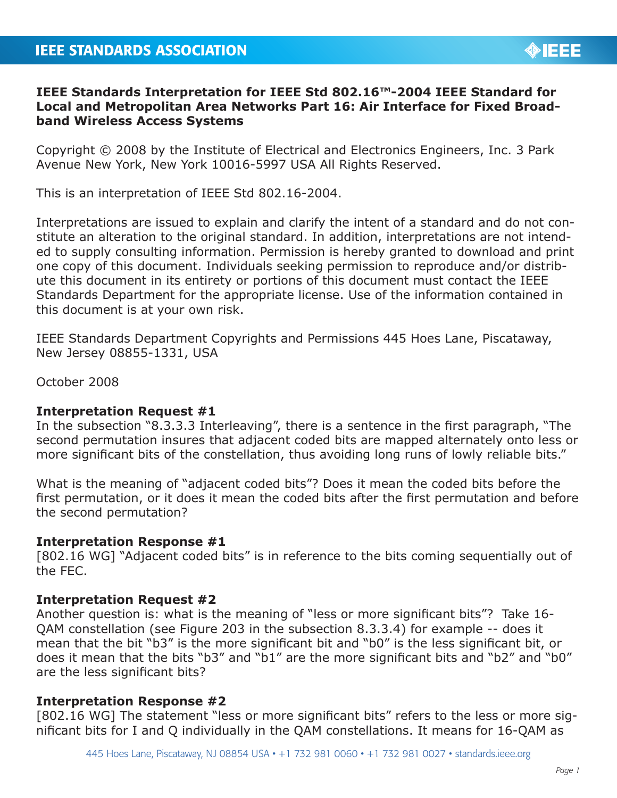# **IEEE Standards Interpretation for IEEE Std 802.16™-2004 IEEE Standard for Local and Metropolitan Area Networks Part 16: Air Interface for Fixed Broadband Wireless Access Systems**

Copyright © 2008 by the Institute of Electrical and Electronics Engineers, Inc. 3 Park Avenue New York, New York 10016-5997 USA All Rights Reserved.

This is an interpretation of IEEE Std 802.16-2004.

Interpretations are issued to explain and clarify the intent of a standard and do not constitute an alteration to the original standard. In addition, interpretations are not intended to supply consulting information. Permission is hereby granted to download and print one copy of this document. Individuals seeking permission to reproduce and/or distribute this document in its entirety or portions of this document must contact the IEEE Standards Department for the appropriate license. Use of the information contained in this document is at your own risk.

IEEE Standards Department Copyrights and Permissions 445 Hoes Lane, Piscataway, New Jersey 08855-1331, USA

October 2008

## **Interpretation Request #1**

In the subsection "8.3.3.3 Interleaving", there is a sentence in the first paragraph, "The second permutation insures that adjacent coded bits are mapped alternately onto less or more significant bits of the constellation, thus avoiding long runs of lowly reliable bits."

What is the meaning of "adjacent coded bits"? Does it mean the coded bits before the first permutation, or it does it mean the coded bits after the first permutation and before the second permutation?

#### **Interpretation Response #1**

[802.16 WG] "Adjacent coded bits" is in reference to the bits coming sequentially out of the FEC.

## **Interpretation Request #2**

Another question is: what is the meaning of "less or more significant bits"? Take 16- QAM constellation (see Figure 203 in the subsection 8.3.3.4) for example -- does it mean that the bit "b3" is the more significant bit and "b0" is the less significant bit, or does it mean that the bits "b3" and "b1" are the more significant bits and "b2" and "b0" are the less significant bits?

## **Interpretation Response #2**

[802.16 WG] The statement "less or more significant bits" refers to the less or more significant bits for I and Q individually in the QAM constellations. It means for 16-QAM as